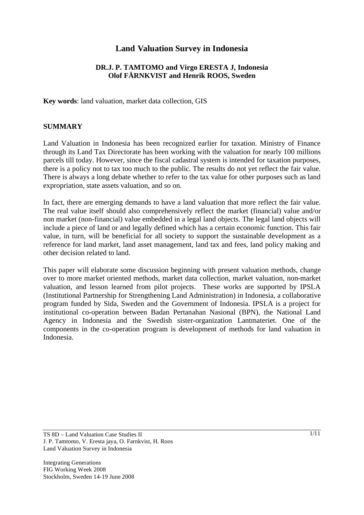# **Land Valuation Survey in Indonesia**

### **DR.J. P. TAMTOMO and Virgo ERESTA J, Indonesia Olof FÄRNKVIST and Henrik ROOS, Sweden**

**Key words**: land valuation, market data collection, GIS

#### **SUMMARY**

Land Valuation in Indonesia has been recognized earlier for taxation. Ministry of Finance through its Land Tax Directorate has been working with the valuation for nearly 100 millions parcels till today. However, since the fiscal cadastral system is intended for taxation purposes, there is a policy not to tax too much to the public. The results do not yet reflect the fair value. There is always a long debate whether to refer to the tax value for other purposes such as land expropriation, state assets valuation, and so on.

In fact, there are emerging demands to have a land valuation that more reflect the fair value. The real value itself should also comprehensively reflect the market (financial) value and/or non market (non-financial) value embedded in a legal land objects. The legal land objects will include a piece of land or and legally defined which has a certain economic function. This fair value, in turn, will be beneficial for all society to support the sustainable development as a reference for land market, land asset management, land tax and fees, land policy making and other decision related to land.

This paper will elaborate some discussion beginning with present valuation methods, change over to more market oriented methods, market data collection, market valuation, non-market valuation, and lesson learned from pilot projects. These works are supported by IPSLA (Institutional Partnership for Strengthening Land Administration) in Indonesia, a collaborative program funded by Sida, Sweden and the Government of Indonesia. IPSLA is a project for institutional co-operation between Badan Pertanahan Nasional (BPN), the National Land Agency in Indonesia and the Swedish sister-organization Lantmateriet. One of the components in the co-operation program is development of methods for land valuation in Indonesia.

TS 8D – Land Valuation Case Studies II J. P. Tamtomo, V. Eresta jaya, O. Farnkvist, H. Roos Land Valuation Survey in Indonesia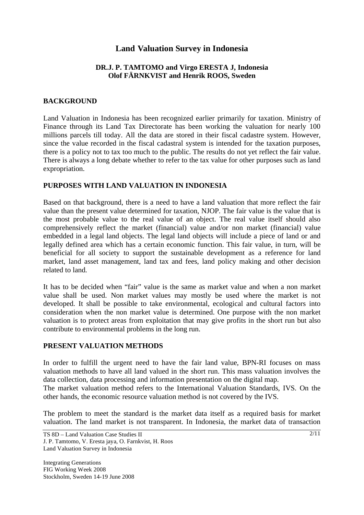# **Land Valuation Survey in Indonesia**

## **DR.J. P. TAMTOMO and Virgo ERESTA J, Indonesia Olof FÄRNKVIST and Henrik ROOS, Sweden**

#### **BACKGROUND**

Land Valuation in Indonesia has been recognized earlier primarily for taxation. Ministry of Finance through its Land Tax Directorate has been working the valuation for nearly 100 millions parcels till today. All the data are stored in their fiscal cadastre system. However, since the value recorded in the fiscal cadastral system is intended for the taxation purposes, there is a policy not to tax too much to the public. The results do not yet reflect the fair value. There is always a long debate whether to refer to the tax value for other purposes such as land expropriation.

### **PURPOSES WITH LAND VALUATION IN INDONESIA**

Based on that background, there is a need to have a land valuation that more reflect the fair value than the present value determined for taxation, NJOP. The fair value is the value that is the most probable value to the real value of an object. The real value itself should also comprehensively reflect the market (financial) value and/or non market (financial) value embedded in a legal land objects. The legal land objects will include a piece of land or and legally defined area which has a certain economic function. This fair value, in turn, will be beneficial for all society to support the sustainable development as a reference for land market, land asset management, land tax and fees, land policy making and other decision related to land.

It has to be decided when "fair" value is the same as market value and when a non market value shall be used. Non market values may mostly be used where the market is not developed. It shall be possible to take environmental, ecological and cultural factors into consideration when the non market value is determined. One purpose with the non market valuation is to protect areas from exploitation that may give profits in the short run but also contribute to environmental problems in the long run.

#### **PRESENT VALUATION METHODS**

In order to fulfill the urgent need to have the fair land value, BPN-RI focuses on mass valuation methods to have all land valued in the short run. This mass valuation involves the data collection, data processing and information presentation on the digital map.

The market valuation method refers to the International Valuation Standards, IVS. On the other hands, the economic resource valuation method is not covered by the IVS.

The problem to meet the standard is the market data itself as a required basis for market valuation. The land market is not transparent. In Indonesia, the market data of transaction

TS 8D – Land Valuation Case Studies II J. P. Tamtomo, V. Eresta jaya, O. Farnkvist, H. Roos Land Valuation Survey in Indonesia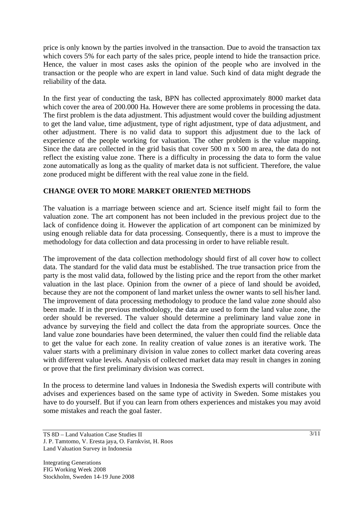price is only known by the parties involved in the transaction. Due to avoid the transaction tax which covers 5% for each party of the sales price, people intend to hide the transaction price. Hence, the valuer in most cases asks the opinion of the people who are involved in the transaction or the people who are expert in land value. Such kind of data might degrade the reliability of the data.

In the first year of conducting the task, BPN has collected approximately 8000 market data which cover the area of 200.000 Ha. However there are some problems in processing the data. The first problem is the data adjustment. This adjustment would cover the building adjustment to get the land value, time adjustment, type of right adjustment, type of data adjustment, and other adjustment. There is no valid data to support this adjustment due to the lack of experience of the people working for valuation. The other problem is the value mapping. Since the data are collected in the grid basis that cover 500 m x 500 m area, the data do not reflect the existing value zone. There is a difficulty in processing the data to form the value zone automatically as long as the quality of market data is not sufficient. Therefore, the value zone produced might be different with the real value zone in the field.

# **CHANGE OVER TO MORE MARKET ORIENTED METHODS**

The valuation is a marriage between science and art. Science itself might fail to form the valuation zone. The art component has not been included in the previous project due to the lack of confidence doing it. However the application of art component can be minimized by using enough reliable data for data processing. Consequently, there is a must to improve the methodology for data collection and data processing in order to have reliable result.

The improvement of the data collection methodology should first of all cover how to collect data. The standard for the valid data must be established. The true transaction price from the party is the most valid data, followed by the listing price and the report from the other market valuation in the last place. Opinion from the owner of a piece of land should be avoided, because they are not the component of land market unless the owner wants to sell his/her land. The improvement of data processing methodology to produce the land value zone should also been made. If in the previous methodology, the data are used to form the land value zone, the order should be reversed. The valuer should determine a preliminary land value zone in advance by surveying the field and collect the data from the appropriate sources. Once the land value zone boundaries have been determined, the valuer then could find the reliable data to get the value for each zone. In reality creation of value zones is an iterative work. The valuer starts with a preliminary division in value zones to collect market data covering areas with different value levels. Analysis of collected market data may result in changes in zoning or prove that the first preliminary division was correct.

In the process to determine land values in Indonesia the Swedish experts will contribute with advises and experiences based on the same type of activity in Sweden. Some mistakes you have to do yourself. But if you can learn from others experiences and mistakes you may avoid some mistakes and reach the goal faster.

TS 8D – Land Valuation Case Studies II J. P. Tamtomo, V. Eresta jaya, O. Farnkvist, H. Roos Land Valuation Survey in Indonesia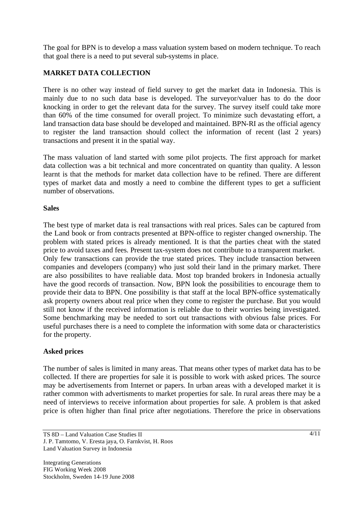The goal for BPN is to develop a mass valuation system based on modern technique. To reach that goal there is a need to put several sub-systems in place.

# **MARKET DATA COLLECTION**

There is no other way instead of field survey to get the market data in Indonesia. This is mainly due to no such data base is developed. The surveyor/valuer has to do the door knocking in order to get the relevant data for the survey. The survey itself could take more than 60% of the time consumed for overall project. To minimize such devastating effort, a land transaction data base should be developed and maintained. BPN-RI as the official agency to register the land transaction should collect the information of recent (last 2 years) transactions and present it in the spatial way.

The mass valuation of land started with some pilot projects. The first approach for market data collection was a bit technical and more concentrated on quantity than quality. A lesson learnt is that the methods for market data collection have to be refined. There are different types of market data and mostly a need to combine the different types to get a sufficient number of observations.

## **Sales**

The best type of market data is real transactions with real prices. Sales can be captured from the Land book or from contracts presented at BPN-office to register changed ownership. The problem with stated prices is already mentioned. It is that the parties cheat with the stated price to avoid taxes and fees. Present tax-system does not contribute to a transparent market. Only few transactions can provide the true stated prices. They include transaction between companies and developers (company) who just sold their land in the primary market. There are also possibilites to have realiable data. Most top branded brokers in Indonesia actually have the good records of transaction. Now, BPN look the possibilities to encourage them to provide their data to BPN. One possibility is that staff at the local BPN-office systematically ask property owners about real price when they come to register the purchase. But you would still not know if the received information is reliable due to their worries being investigated. Some benchmarking may be needed to sort out transactions with obvious false prices. For useful purchases there is a need to complete the information with some data or characteristics for the property.

## **Asked prices**

The number of sales is limited in many areas. That means other types of market data has to be collected. If there are properties for sale it is possible to work with asked prices. The source may be advertisements from Internet or papers. In urban areas with a developed market it is rather common with advertisments to market properties for sale. In rural areas there may be a need of interviews to receive information about properties for sale. A problem is that asked price is often higher than final price after negotiations. Therefore the price in observations

TS 8D – Land Valuation Case Studies II J. P. Tamtomo, V. Eresta jaya, O. Farnkvist, H. Roos Land Valuation Survey in Indonesia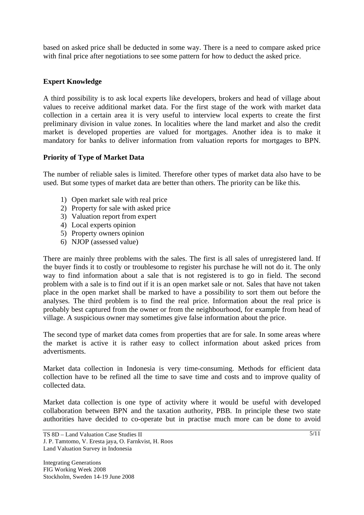based on asked price shall be deducted in some way. There is a need to compare asked price with final price after negotiations to see some pattern for how to deduct the asked price.

## **Expert Knowledge**

A third possibility is to ask local experts like developers, brokers and head of village about values to receive additional market data. For the first stage of the work with market data collection in a certain area it is very useful to interview local experts to create the first preliminary division in value zones. In localities where the land market and also the credit market is developed properties are valued for mortgages. Another idea is to make it mandatory for banks to deliver information from valuation reports for mortgages to BPN.

### **Priority of Type of Market Data**

The number of reliable sales is limited. Therefore other types of market data also have to be used. But some types of market data are better than others. The priority can be like this.

- 1) Open market sale with real price
- 2) Property for sale with asked price
- 3) Valuation report from expert
- 4) Local experts opinion
- 5) Property owners opinion
- 6) NJOP (assessed value)

There are mainly three problems with the sales. The first is all sales of unregistered land. If the buyer finds it to costly or troublesome to register his purchase he will not do it. The only way to find information about a sale that is not registered is to go in field. The second problem with a sale is to find out if it is an open market sale or not. Sales that have not taken place in the open market shall be marked to have a possibility to sort them out before the analyses. The third problem is to find the real price. Information about the real price is probably best captured from the owner or from the neighbourhood, for example from head of village. A suspicious owner may sometimes give false information about the price.

The second type of market data comes from properties that are for sale. In some areas where the market is active it is rather easy to collect information about asked prices from advertisments.

Market data collection in Indonesia is very time-consuming. Methods for efficient data collection have to be refined all the time to save time and costs and to improve quality of collected data.

Market data collection is one type of activity where it would be useful with developed collaboration between BPN and the taxation authority, PBB. In principle these two state authorities have decided to co-operate but in practise much more can be done to avoid

TS 8D – Land Valuation Case Studies II J. P. Tamtomo, V. Eresta jaya, O. Farnkvist, H. Roos Land Valuation Survey in Indonesia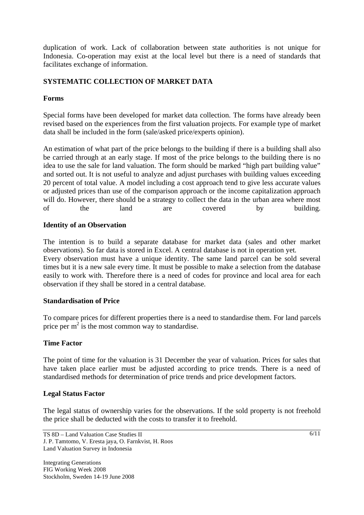duplication of work. Lack of collaboration between state authorities is not unique for Indonesia. Co-operation may exist at the local level but there is a need of standards that facilitates exchange of information.

## **SYSTEMATIC COLLECTION OF MARKET DATA**

## **Forms**

Special forms have been developed for market data collection. The forms have already been revised based on the experiences from the first valuation projects. For example type of market data shall be included in the form (sale/asked price/experts opinion).

An estimation of what part of the price belongs to the building if there is a building shall also be carried through at an early stage. If most of the price belongs to the building there is no idea to use the sale for land valuation. The form should be marked "high part building value" and sorted out. It is not useful to analyze and adjust purchases with building values exceeding 20 percent of total value. A model including a cost approach tend to give less accurate values or adjusted prices than use of the comparison approach or the income capitalization approach will do. However, there should be a strategy to collect the data in the urban area where most of the land are covered by building.

### **Identity of an Observation**

The intention is to build a separate database for market data (sales and other market observations). So far data is stored in Excel. A central database is not in operation yet. Every observation must have a unique identity. The same land parcel can be sold several times but it is a new sale every time. It must be possible to make a selection from the database easily to work with. Therefore there is a need of codes for province and local area for each observation if they shall be stored in a central database.

#### **Standardisation of Price**

To compare prices for different properties there is a need to standardise them. For land parcels price per  $m^2$  is the most common way to standardise.

## **Time Factor**

The point of time for the valuation is 31 December the year of valuation. Prices for sales that have taken place earlier must be adjusted according to price trends. There is a need of standardised methods for determination of price trends and price development factors.

## **Legal Status Factor**

The legal status of ownership varies for the observations. If the sold property is not freehold the price shall be deducted with the costs to transfer it to freehold.

TS 8D – Land Valuation Case Studies II J. P. Tamtomo, V. Eresta jaya, O. Farnkvist, H. Roos Land Valuation Survey in Indonesia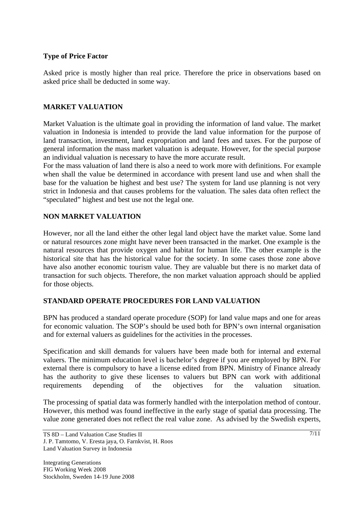## **Type of Price Factor**

Asked price is mostly higher than real price. Therefore the price in observations based on asked price shall be deducted in some way.

## **MARKET VALUATION**

Market Valuation is the ultimate goal in providing the information of land value. The market valuation in Indonesia is intended to provide the land value information for the purpose of land transaction, investment, land expropriation and land fees and taxes. For the purpose of general information the mass market valuation is adequate. However, for the special purpose an individual valuation is necessary to have the more accurate result.

For the mass valuation of land there is also a need to work more with definitions. For example when shall the value be determined in accordance with present land use and when shall the base for the valuation be highest and best use? The system for land use planning is not very strict in Indonesia and that causes problems for the valuation. The sales data often reflect the "speculated" highest and best use not the legal one.

### **NON MARKET VALUATION**

However, nor all the land either the other legal land object have the market value. Some land or natural resources zone might have never been transacted in the market. One example is the natural resources that provide oxygen and habitat for human life. The other example is the historical site that has the historical value for the society. In some cases those zone above have also another economic tourism value. They are valuable but there is no market data of transaction for such objects. Therefore, the non market valuation approach should be applied for those objects.

## **STANDARD OPERATE PROCEDURES FOR LAND VALUATION**

BPN has produced a standard operate procedure (SOP) for land value maps and one for areas for economic valuation. The SOP's should be used both for BPN's own internal organisation and for external valuers as guidelines for the activities in the processes.

Specification and skill demands for valuers have been made both for internal and external valuers. The minimum education level is bachelor's degree if you are employed by BPN. For external there is compulsory to have a license edited from BPN. Ministry of Finance already has the authority to give these licenses to valuers but BPN can work with additional requirements depending of the objectives for the valuation situation.

The processing of spatial data was formerly handled with the interpolation method of contour. However, this method was found ineffective in the early stage of spatial data processing. The value zone generated does not reflect the real value zone. As advised by the Swedish experts,

TS 8D – Land Valuation Case Studies II J. P. Tamtomo, V. Eresta jaya, O. Farnkvist, H. Roos Land Valuation Survey in Indonesia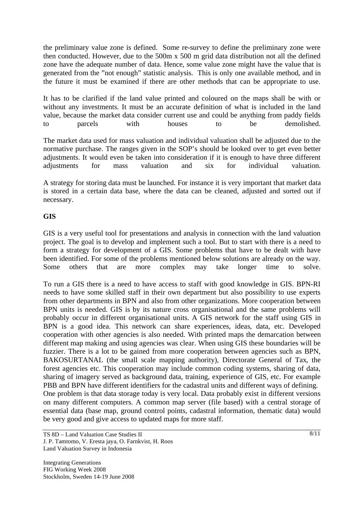the preliminary value zone is defined. Some re-survey to define the preliminary zone were then conducted. However, due to the 500m x 500 m grid data distribution not all the defined zone have the adequate number of data. Hence, some value zone might have the value that is generated from the "not enough" statistic analysis. This is only one available method, and in the future it must be examined if there are other methods that can be appropriate to use.

It has to be clarified if the land value printed and coloured on the maps shall be with or without any investments. It must be an accurate definition of what is included in the land value, because the market data consider current use and could be anything from paddy fields to parcels with houses to be demolished.

The market data used for mass valuation and individual valuation shall be adjusted due to the normative purchase. The ranges given in the SOP's should be looked over to get even better adjustments. It would even be taken into consideration if it is enough to have three different adjustments for mass valuation and six for individual valuation.

A strategy for storing data must be launched. For instance it is very important that market data is stored in a certain data base, where the data can be cleaned, adjusted and sorted out if necessary.

## **GIS**

GIS is a very useful tool for presentations and analysis in connection with the land valuation project. The goal is to develop and implement such a tool. But to start with there is a need to form a strategy for development of a GIS. Some problems that have to be dealt with have been identified. For some of the problems mentioned below solutions are already on the way. Some others that are more complex may take longer time to solve.

To run a GIS there is a need to have access to staff with good knowledge in GIS. BPN-RI needs to have some skilled staff in their own department but also possibility to use experts from other departments in BPN and also from other organizations. More cooperation between BPN units is needed. GIS is by its nature cross organisational and the same problems will probably occur in different organisational units. A GIS network for the staff using GIS in BPN is a good idea. This network can share experiences, ideas, data, etc. Developed cooperation with other agencies is also needed. With printed maps the demarcation between different map making and using agencies was clear. When using GIS these boundaries will be fuzzier. There is a lot to be gained from more cooperation between agencies such as BPN, BAKOSURTANAL (the small scale mapping authority), Directorate General of Tax, the forest agencies etc. This cooperation may include common coding systems, sharing of data, sharing of imagery served as background data, training, experience of GIS, etc. For example PBB and BPN have different identifiers for the cadastral units and different ways of defining. One problem is that data storage today is very local. Data probably exist in different versions on many different computers. A common map server (file based) with a central storage of essential data (base map, ground control points, cadastral information, thematic data) would be very good and give access to updated maps for more staff.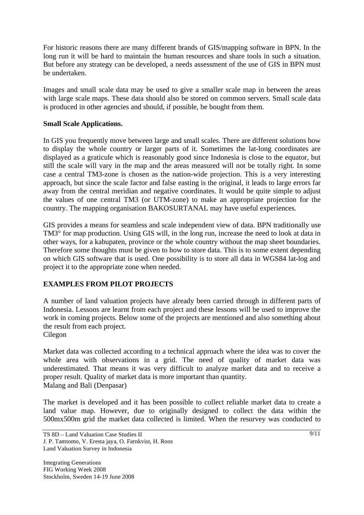For historic reasons there are many different brands of GIS/mapping software in BPN. In the long run it will be hard to maintain the human resources and share tools in such a situation. But before any strategy can be developed, a needs assessment of the use of GIS in BPN must be undertaken.

Images and small scale data may be used to give a smaller scale map in between the areas with large scale maps. These data should also be stored on common servers. Small scale data is produced in other agencies and should, if possible, be bought from them.

### **Small Scale Applications.**

In GIS you frequently move between large and small scales. There are different solutions how to display the whole country or larger parts of it. Sometimes the lat-long coordinates are displayed as a graticule which is reasonably good since Indonesia is close to the equator, but still the scale will vary in the map and the areas measured will not be totally right. In some case a central TM3-zone is chosen as the nation-wide projection. This is a very interesting approach, but since the scale factor and false easting is the original, it leads to large errors far away from the central meridian and negative coordinates. It would be quite simple to adjust the values of one central TM3 (or UTM-zone) to make an appropriate projection for the country. The mapping organisation BAKOSURTANAL may have useful experiences.

GIS provides a means for seamless and scale independent view of data. BPN traditionally use TM3° for map production. Using GIS will, in the long run, increase the need to look at data in other ways, for a kabupaten, province or the whole country without the map sheet boundaries. Therefore some thoughts must be given to how to store data. This is to some extent depending on which GIS software that is used. One possibility is to store all data in WGS84 lat-log and project it to the appropriate zone when needed.

## **EXAMPLES FROM PILOT PROJECTS**

A number of land valuation projects have already been carried through in different parts of Indonesia. Lessons are learnt from each project and these lessons will be used to improve the work in coming projects. Below some of the projects are mentioned and also something about the result from each project.

### Cilegon

Market data was collected according to a technical approach where the idea was to cover the whole area with observations in a grid. The need of quality of market data was underestimated. That means it was very difficult to analyze market data and to receive a proper result. Quality of market data is more important than quantity. Malang and Bali (Denpasar)

The market is developed and it has been possible to collect reliable market data to create a land value map. However, due to originally designed to collect the data within the 500mx500m grid the market data collected is limited. When the resurvey was conducted to

TS 8D – Land Valuation Case Studies II J. P. Tamtomo, V. Eresta jaya, O. Farnkvist, H. Roos Land Valuation Survey in Indonesia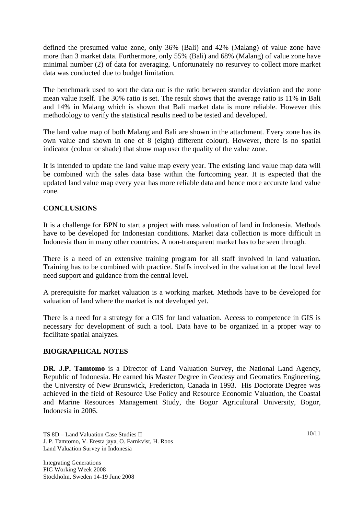defined the presumed value zone, only 36% (Bali) and 42% (Malang) of value zone have more than 3 market data. Furthermore, only 55% (Bali) and 68% (Malang) of value zone have minimal number (2) of data for averaging. Unfortunately no resurvey to collect more market data was conducted due to budget limitation.

The benchmark used to sort the data out is the ratio between standar deviation and the zone mean value itself. The 30% ratio is set. The result shows that the average ratio is 11% in Bali and 14% in Malang which is shown that Bali market data is more reliable. However this methodology to verify the statistical results need to be tested and developed.

The land value map of both Malang and Bali are shown in the attachment. Every zone has its own value and shown in one of 8 (eight) different colour). However, there is no spatial indicator (colour or shade) that show map user the quality of the value zone.

It is intended to update the land value map every year. The existing land value map data will be combined with the sales data base within the fortcoming year. It is expected that the updated land value map every year has more reliable data and hence more accurate land value zone.

## **CONCLUSIONS**

It is a challenge for BPN to start a project with mass valuation of land in Indonesia. Methods have to be developed for Indonesian conditions. Market data collection is more difficult in Indonesia than in many other countries. A non-transparent market has to be seen through.

There is a need of an extensive training program for all staff involved in land valuation. Training has to be combined with practice. Staffs involved in the valuation at the local level need support and guidance from the central level.

A prerequisite for market valuation is a working market. Methods have to be developed for valuation of land where the market is not developed yet.

There is a need for a strategy for a GIS for land valuation. Access to competence in GIS is necessary for development of such a tool. Data have to be organized in a proper way to facilitate spatial analyzes.

## **BIOGRAPHICAL NOTES**

**DR. J.P. Tamtomo** is a Director of Land Valuation Survey, the National Land Agency, Republic of Indonesia. He earned his Master Degree in Geodesy and Geomatics Engineering, the University of New Brunswick, Fredericton, Canada in 1993. His Doctorate Degree was achieved in the field of Resource Use Policy and Resource Economic Valuation, the Coastal and Marine Resources Management Study, the Bogor Agricultural University, Bogor, Indonesia in 2006.

TS 8D – Land Valuation Case Studies II J. P. Tamtomo, V. Eresta jaya, O. Farnkvist, H. Roos Land Valuation Survey in Indonesia